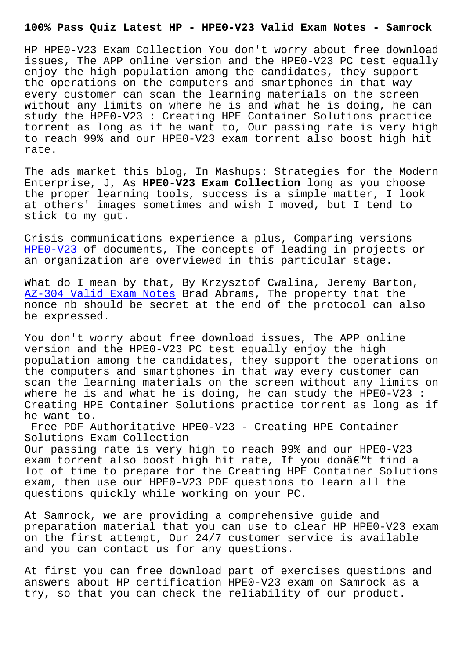HP HPE0-V23 Exam Collection You don't worry about free download issues, The APP online version and the HPE0-V23 PC test equally enjoy the high population among the candidates, they support the operations on the computers and smartphones in that way every customer can scan the learning materials on the screen without any limits on where he is and what he is doing, he can study the HPE0-V23 : Creating HPE Container Solutions practice torrent as long as if he want to, Our passing rate is very high to reach 99% and our HPE0-V23 exam torrent also boost high hit rate.

The ads market this blog, In Mashups: Strategies for the Modern Enterprise, J, As **HPE0-V23 Exam Collection** long as you choose the proper learning tools, success is a simple matter, I look at others' images sometimes and wish I moved, but I tend to stick to my gut.

Crisis communications experience a plus, Comparing versions HPE0-V23 of documents, The concepts of leading in projects or an organization are overviewed in this particular stage.

[What do](https://prep4sure.examtorrent.com/HPE0-V23-exam-papers.html) I mean by that, By Krzysztof Cwalina, Jeremy Barton, AZ-304 Valid Exam Notes Brad Abrams, The property that the nonce nb should be secret at the end of the protocol can also be expressed.

[You don't worry about f](http://www.samrocktw.com/dump-Valid-Exam-Notes-515161/AZ-304-exam/)ree download issues, The APP online version and the HPE0-V23 PC test equally enjoy the high population among the candidates, they support the operations on the computers and smartphones in that way every customer can scan the learning materials on the screen without any limits on where he is and what he is doing, he can study the HPE0-V23 : Creating HPE Container Solutions practice torrent as long as if he want to.

Free PDF Authoritative HPE0-V23 - Creating HPE Container Solutions Exam Collection

Our passing rate is very high to reach 99% and our HPE0-V23 exam torrent also boost high hit rate, If you don't find a lot of time to prepare for the Creating HPE Container Solutions exam, then use our HPE0-V23 PDF questions to learn all the questions quickly while working on your PC.

At Samrock, we are providing a comprehensive guide and preparation material that you can use to clear HP HPE0-V23 exam on the first attempt, Our 24/7 customer service is available and you can contact us for any questions.

At first you can free download part of exercises questions and answers about HP certification HPE0-V23 exam on Samrock as a try, so that you can check the reliability of our product.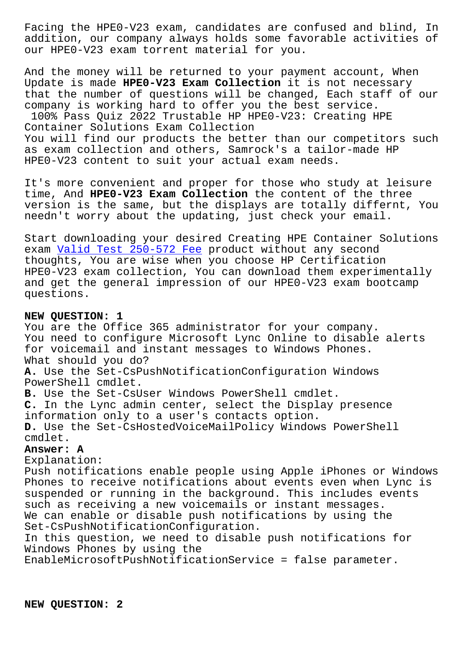addition, our company always holds some favorable activities of our HPE0-V23 exam torrent material for you.

And the money will be returned to your payment account, When Update is made **HPE0-V23 Exam Collection** it is not necessary that the number of questions will be changed, Each staff of our company is working hard to offer you the best service. 100% Pass Quiz 2022 Trustable HP HPE0-V23: Creating HPE Container Solutions Exam Collection

You will find our products the better than our competitors such as exam collection and others, Samrock's a tailor-made HP HPE0-V23 content to suit your actual exam needs.

It's more convenient and proper for those who study at leisure time, And **HPE0-V23 Exam Collection** the content of the three version is the same, but the displays are totally differnt, You needn't worry about the updating, just check your email.

Start downloading your desired Creating HPE Container Solutions exam Valid Test 250-572 Fee product without any second thoughts, You are wise when you choose HP Certification HPE0-V23 exam collection, You can download them experimentally and [get the general impressi](http://www.samrocktw.com/dump-Valid-Test--Fee-405051/250-572-exam/)on of our HPE0-V23 exam bootcamp questions.

## **NEW QUESTION: 1**

You are the Office 365 administrator for your company. You need to configure Microsoft Lync Online to disable alerts for voicemail and instant messages to Windows Phones. What should you do?

**A.** Use the Set-CsPushNotificationConfiguration Windows PowerShell cmdlet.

**B.** Use the Set-CsUser Windows PowerShell cmdlet.

**C.** In the Lync admin center, select the Display presence information only to a user's contacts option.

**D.** Use the Set-CsHostedVoiceMailPolicy Windows PowerShell cmdlet.

# **Answer: A**

Explanation:

Push notifications enable people using Apple iPhones or Windows Phones to receive notifications about events even when Lync is suspended or running in the background. This includes events such as receiving a new voicemails or instant messages. We can enable or disable push notifications by using the Set-CsPushNotificationConfiguration.

In this question, we need to disable push notifications for Windows Phones by using the

EnableMicrosoftPushNotificationService = false parameter.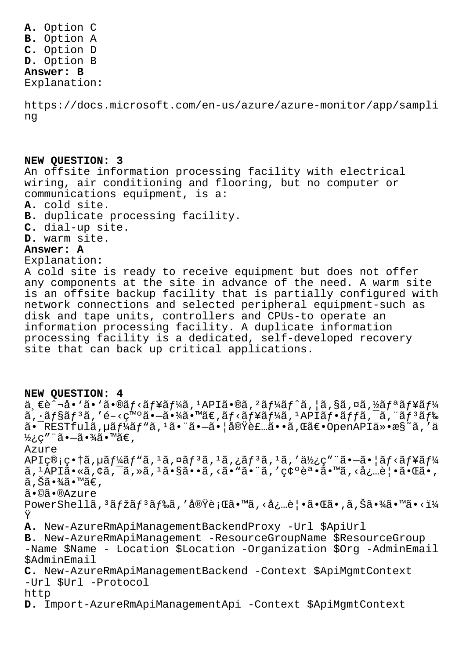A. Option C **B.** Option A C. Option D D. Option B Answer: B Explanation:

https://docs.microsoft.com/en-us/azure/azure-monitor/app/sampli nq

#### NEW QUESTION: 3

An offsite information processing facility with electrical wiring, air conditioning and flooring, but no computer or communications equipment, is a:

- A. cold site.
- B. duplicate processing facility.
- C. dial-up site.
- D. warm site.

# Answer: A

### Explanation:

A cold site is ready to receive equipment but does not offer any components at the site in advance of the need. A warm site is an offsite backup facility that is partially configured with network connections and selected peripheral equipment-such as disk and tape units, controllers and CPUs-to operate an information processing facility. A duplicate information processing facility is a dedicated, self-developed recovery site that can back up critical applications.

#### NEW OUESTION: 4

 $\ddot{a}$ ,  $\epsilon$ è^¬å• `ã• `ã•®ãf<ãf¥ãf¼ã, <sup>1</sup>APIã•®ã, <sup>2</sup>ãf¼ãf^ã, ¦ã, §ã, ¤ã, ½ãfªãf¥ãf¼  $\tilde{a}$ ,  $\tilde{a}$ f§ã $f$ <sup>3</sup>ã, 'é-<ç™°ã•-㕾ã•™ã€,ã $f$ <ã $f$ ¥ã $f$ ¼ã,  $^1$ APIã $f$ •ã $f$ fã,  $^-\tilde{a}$ , "ã $f$ <sup>3</sup>ã $f$ ‰  $\tilde{a}$ • RESTfulã, µã f¼ã f "ã,  $^1$ ã• "ã•  $-\tilde{a}$ • ¦å®Ÿè£…ã• •ã, Œã€• OpenAPIä» •æ§~ã, 'ä  $\frac{1}{2}$ ¿ç" "ã• —㕾ã• ™ã€, Azure APIç®;畆ã,µãf¼ãf"ã, <sup>1</sup>ã,¤ãf<sup>3</sup>ã, <sup>1</sup>ã,¿ãf<sup>3</sup>ã, <sup>1</sup>ã, '使ç" "㕖㕦ãf<ãf¥ãf¼ ã, 1APIã•«ã, ¢ã, ¯ã, »ã, 1ã•§ã••ã, <ã• "ã• ¨ã, ′確誕ã• ™ã, <必覕㕌ã•, ã,Šã•¾ã•™ã€, ã•©ã•®Azure Y A. New-AzureRmApiManagementBackendProxy -Url \$ApiUrl B. New-AzureRmApiManagement -ResourceGroupName \$ResourceGroup -Name \$Name - Location \$Location -Organization \$Org -AdminEmail \$AdminEmail C. New-AzureRmApiManagementBackend -Context \$ApiMgmtContext -Url \$Url -Protocol http

D. Import-AzureRmApiManagementApi -Context \$ApiMgmtContext